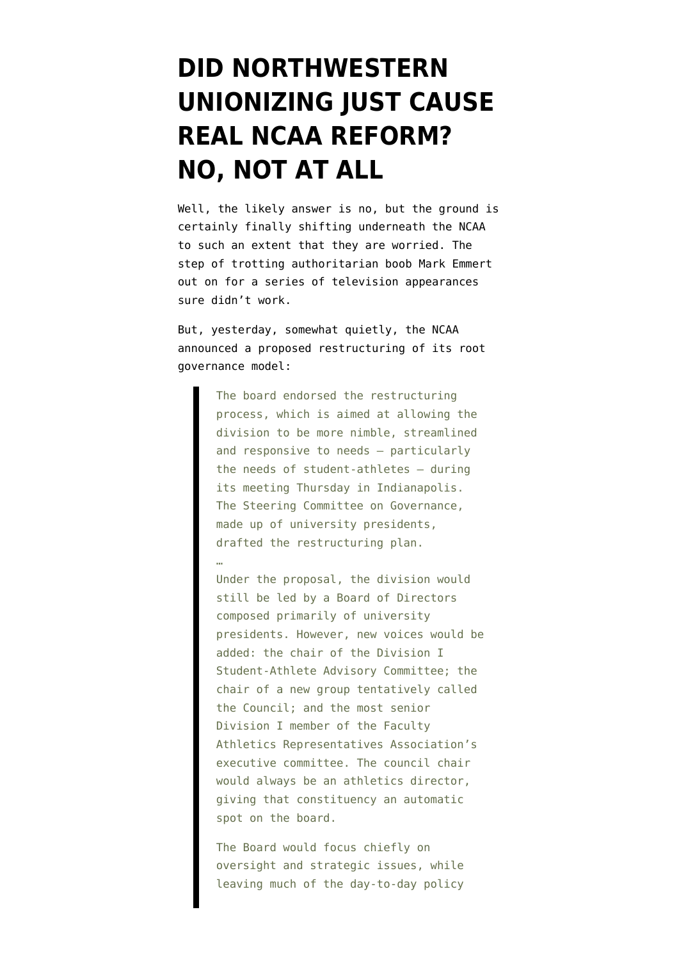## **[DID NORTHWESTERN](https://www.emptywheel.net/2014/04/25/did-northwestern-unionizing-just-cause-real-ncaa-reform/) [UNIONIZING JUST CAUSE](https://www.emptywheel.net/2014/04/25/did-northwestern-unionizing-just-cause-real-ncaa-reform/) [REAL NCAA REFORM?](https://www.emptywheel.net/2014/04/25/did-northwestern-unionizing-just-cause-real-ncaa-reform/) [NO, NOT AT ALL](https://www.emptywheel.net/2014/04/25/did-northwestern-unionizing-just-cause-real-ncaa-reform/)**

Well, the likely answer is no, but the ground is certainly finally shifting underneath the NCAA to such an extent that they are worried. The step of trotting authoritarian boob Mark Emmert out on for a [series of television appearances](http://www.sportingnews.com/ncaa-football/story/2014-04-18/ncaa-mark-emmert-ed-obannon-case-defense-academic-exceptions-athletes-paying-players-labor-union) sure didn't work.

But, yesterday, somewhat quietly, the [NCAA](http://www.ncaa.org/about/resources/media-center/news/di-board-directors-endorses-restructuring-process-seeks-feedback) [announced a proposed restructuring](http://www.ncaa.org/about/resources/media-center/news/di-board-directors-endorses-restructuring-process-seeks-feedback) of its root governance model:

> The board endorsed the restructuring process, which is aimed at allowing the division to be more nimble, streamlined and responsive to needs – particularly the needs of student-athletes – during its meeting Thursday in Indianapolis. The Steering Committee on Governance, made up of university presidents, drafted the restructuring plan.

…

Under the proposal, the division would still be led by a Board of Directors composed primarily of university presidents. However, new voices would be added: the chair of the Division I Student-Athlete Advisory Committee; the chair of a new group tentatively called the Council; and the most senior Division I member of the Faculty Athletics Representatives Association's executive committee. The council chair would always be an athletics director, giving that constituency an automatic spot on the board.

The Board would focus chiefly on oversight and strategic issues, while leaving much of the day-to-day policy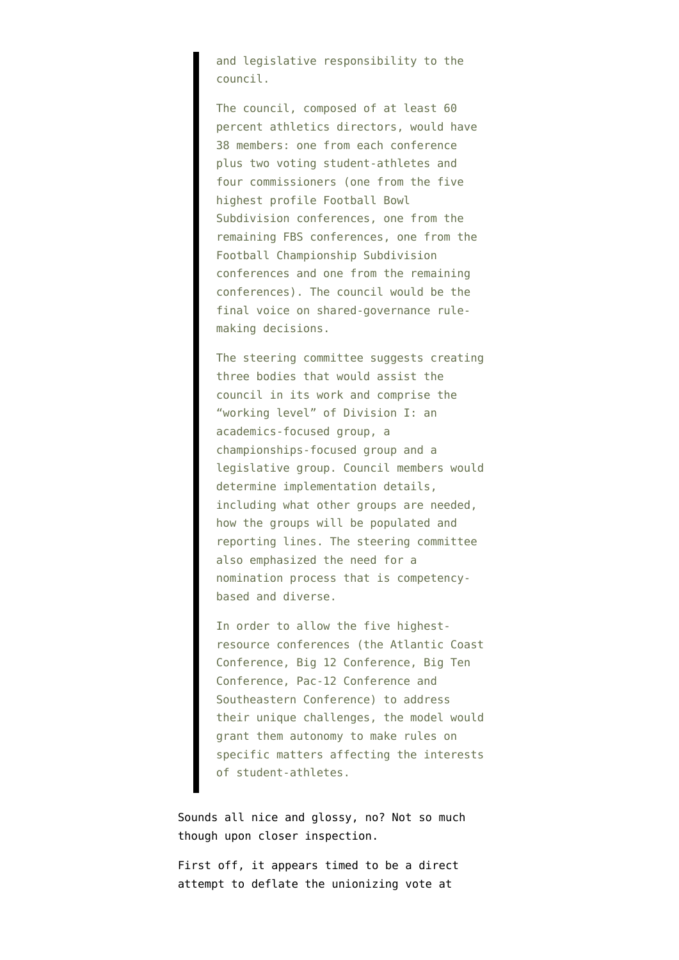and legislative responsibility to the council.

The council, composed of at least 60 percent athletics directors, would have 38 members: one from each conference plus two voting student-athletes and four commissioners (one from the five highest profile Football Bowl Subdivision conferences, one from the remaining FBS conferences, one from the Football Championship Subdivision conferences and one from the remaining conferences). The council would be the final voice on shared-governance rulemaking decisions.

The steering committee suggests creating three bodies that would assist the council in its work and comprise the "working level" of Division I: an academics-focused group, a championships-focused group and a legislative group. Council members would determine implementation details, including what other groups are needed, how the groups will be populated and reporting lines. The steering committee also emphasized the need for a nomination process that is competencybased and diverse.

In order to allow the five highestresource conferences (the Atlantic Coast Conference, Big 12 Conference, Big Ten Conference, Pac-12 Conference and Southeastern Conference) to address their unique challenges, the model would grant them autonomy to make rules on specific matters affecting the interests of student-athletes.

Sounds all nice and glossy, no? Not so much though upon closer inspection.

First off, it appears timed to be a direct attempt to deflate the [unionizing vote at](http://www.washingtonpost.com/local/education/northwestern-u-football-players-to-vote-on-union-amid-debate-over-labor-rights-at-college/2014/04/24/53d885bc-cbea-11e3-93eb-6c0037dde2ad_story.html)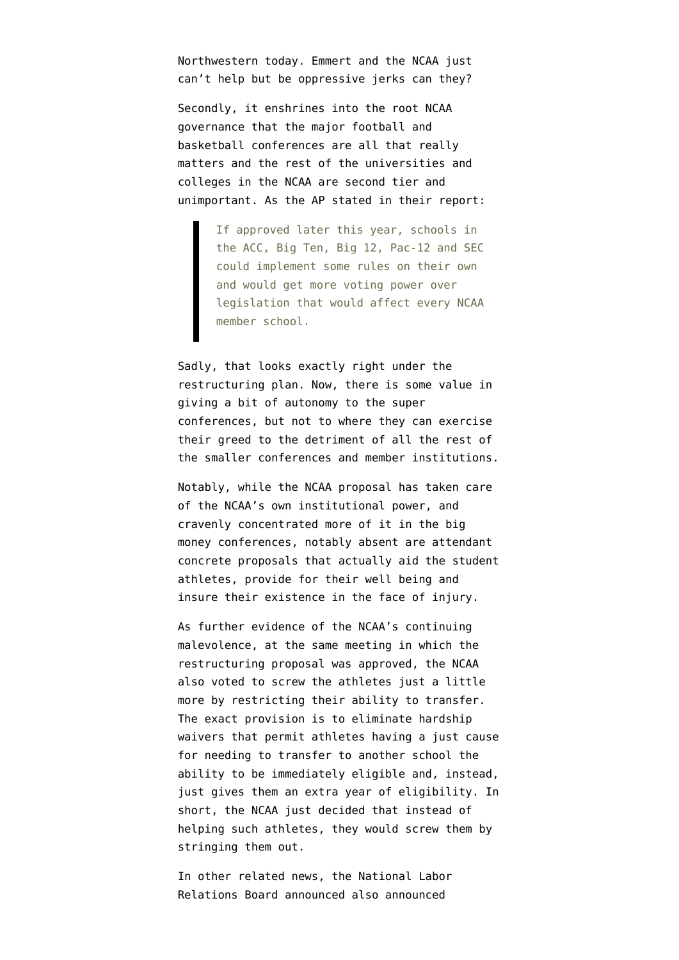[Northwestern today.](http://www.washingtonpost.com/local/education/northwestern-u-football-players-to-vote-on-union-amid-debate-over-labor-rights-at-college/2014/04/24/53d885bc-cbea-11e3-93eb-6c0037dde2ad_story.html) Emmert and the NCAA just can't help but be oppressive jerks can they?

Secondly, it enshrines into the root NCAA governance that the major football and basketball conferences are all that really matters and the rest of the universities and colleges in the NCAA are second tier and unimportant. As the [AP stated in their report](http://bigstory.ap.org/article/ncaa-board-endorses-more-power-big-schools):

> If approved later this year, schools in the ACC, Big Ten, Big 12, Pac-12 and SEC could implement some rules on their own and would get more voting power over legislation that would affect every NCAA member school.

Sadly, that looks exactly right under the restructuring plan. Now, there is some value in giving a bit of autonomy to the super conferences, but not to where they can exercise their greed to the detriment of all the rest of the smaller conferences and member institutions.

Notably, while the NCAA proposal has taken care of the NCAA's own institutional power, and cravenly concentrated more of it in the big money conferences, notably absent are attendant concrete proposals that actually aid the student athletes, provide for their well being and insure their existence in the face of injury.

As further evidence of the NCAA's continuing malevolence, at the same meeting in which the restructuring proposal was approved, the NCAA also voted to screw the athletes just a little more by restricting their ability to transfer. The exact provision is to eliminate hardship waivers that permit athletes having a just cause for needing to transfer to another school the ability to be immediately eligible and, instead, just gives them an extra year of eligibility. In short, the NCAA just decided that instead of helping such athletes, they would screw them by stringing them out.

In other related news, the National Labor Relations Board announced also announced